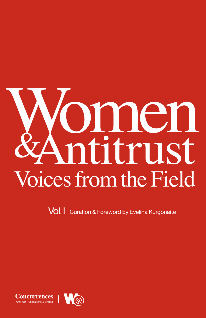# **Omen**<br>Mitrust  $\mathcal{E}_4$ Voices from the Field

**Vol.** | Curation & Foreword by Evelina Kurgonaite

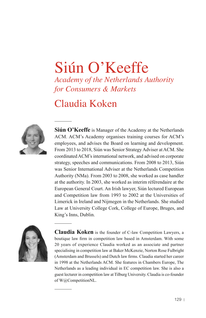## Siún O'Keeffe *Academy of the Netherlands Authority for Consumers & Markets*

### Claudia Koken



**Siún O'Keeffe** is Manager of the Academy at the Netherlands ACM. ACM's Academy organises training courses for ACM's employees, and advises the Board on learning and development. From 2013 to 2018, Siún was Senior Strategy Adviser at ACM. She coordinated ACM's international network, and advised on corporate strategy, speeches and communications. From 2008 to 2013, Siún was Senior International Adviser at the Netherlands Competition Authority (NMa). From 2003 to 2008, she worked as case handler at the authority. In 2003, she worked as interim référendaire at the European General Court. An Irish lawyer, Siún lectured European and Competition law from 1993 to 2002 at the Universities of Limerick in Ireland and Nijmegen in the Netherlands. She studied Law at University College Cork, College of Europe, Bruges, and King's Inns, Dublin.



 **Claudia Koken** is the founder of C-law Competition Lawyers, a boutique law firm in competition law based in Amsterdam. With some 20 years of experience Claudia worked as an associate and partner specialising in competition law at Baker McKenzie, Norton Rose Fulbright (Amsterdam and Brussels) and Dutch law firms. Claudia started her career in 1998 at the Netherlands ACM. She features in Chambers Europe, The Netherlands as a leading individual in EC competition law. She is also a guest lecturer in competition law at Tilburg University. Claudia is co-founder of W@CompetitionNL.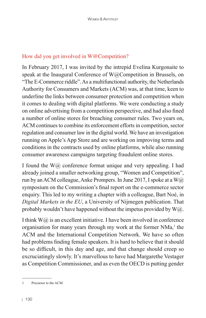#### How did you get involved in W@Competition?

In February 2017, I was invited by the intrepid Evelina Kurgonaite to speak at the Inaugural Conference of W@Competition in Brussels, on "The E-Commerce riddle". As a multifunctional authority, the Netherlands Authority for Consumers and Markets (ACM) was, at that time, keen to underline the links between consumer protection and competition when it comes to dealing with digital platforms. We were conducting a study on online advertising from a competition perspective, and had also fined a number of online stores for breaching consumer rules. Two years on, ACM continues to combine its enforcement efforts in competition, sector regulation and consumer law in the digital world. We have an investigation running on Apple's App Store and are working on improving terms and conditions in the contracts used by online platforms, while also running consumer awareness campaigns targeting fraudulent online stores.

I found the W@ conference format unique and very appealing. I had already joined a smaller networking group, "Women and Competition", run by an ACM colleague, Anke Prompers. In June 2017, I spoke at a  $W(a)$ symposium on the Commission's final report on the e-commerce sector enquiry. This led to my writing a chapter with a colleague, Bart Noé, in *Digital Markets in the EU*, a University of Nijmegen publication. That probably wouldn't have happened without the impetus provided by  $W(\widehat{a})$ .

I think  $W(\hat{\omega})$  is an excellent initiative. I have been involved in conference organisation for many years through my work at the former NMa,<sup>1</sup> the ACM and the International Competition Network. We have so often had problems finding female speakers. It is hard to believe that it should be so difficult, in this day and age, and that change should creep so excruciatingly slowly. It's marvellous to have had Margarethe Vestager as Competition Commissioner, and as even the OECD is putting gender

<sup>1</sup> Precursor to the ACM.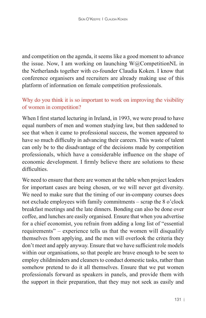and competition on the agenda, it seems like a good moment to advance the issue. Now, I am working on launching W@CompetitionNL in the Netherlands together with co-founder Claudia Koken. I know that conference organisers and recruiters are already making use of this platform of information on female competition professionals.

#### Why do you think it is so important to work on improving the visibility of women in competition?

When I first started lecturing in Ireland, in 1993, we were proud to have equal numbers of men and women studying law, but then saddened to see that when it came to professional success, the women appeared to have so much difficulty in advancing their careers. This waste of talent can only be to the disadvantage of the decisions made by competition professionals, which have a considerable influence on the shape of economic development. I firmly believe there are solutions to these difficulties.

We need to ensure that there are women at the table when project leaders for important cases are being chosen, or we will never get diversity. We need to make sure that the timing of our in-company courses does not exclude employees with family commitments – scrap the 8 o'clock breakfast meetings and the late dinners. Bonding can also be done over coffee, and lunches are easily organised. Ensure that when you advertise for a chief economist, you refrain from adding a long list of "essential requirements" – experience tells us that the women will disqualify themselves from applying, and the men will overlook the criteria they don't meet and apply anyway. Ensure that we have sufficient role models within our organisations, so that people are brave enough to be seen to employ childminders and cleaners to conduct domestic tasks, rather than somehow pretend to do it all themselves. Ensure that we put women professionals forward as speakers in panels, and provide them with the support in their preparation, that they may not seek as easily and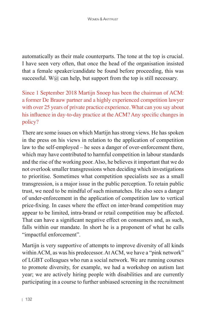automatically as their male counterparts. The tone at the top is crucial. I have seen very often, that once the head of the organisation insisted that a female speaker/candidate be found before proceeding, this was successful. W $\omega$  can help, but support from the top is still necessary.

Since 1 September 2018 Martijn Snoep has been the chairman of ACM: a former De Brauw partner and a highly experienced competition lawyer with over 25 years of private practice experience. What can you say about his influence in day-to-day practice at the ACM? Any specific changes in policy?

There are some issues on which Martijn has strong views. He has spoken in the press on his views in relation to the application of competition law to the self-employed – he sees a danger of over-enforcement there, which may have contributed to harmful competition in labour standards and the rise of the working poor. Also, he believes it important that we do not overlook smaller transgressions when deciding which investigations to prioritise. Sometimes what competition specialists see as a small transgression, is a major issue in the public perception. To retain public trust, we need to be mindful of such mismatches. He also sees a danger of under-enforcement in the application of competition law to vertical price-fixing. In cases where the effect on inter-brand competition may appear to be limited, intra-brand or retail competition may be affected. That can have a significant negative effect on consumers and, as such, falls within our mandate. In short he is a proponent of what he calls "impactful enforcement".

Martijn is very supportive of attempts to improve diversity of all kinds within ACM, as was his predecessor. At ACM, we have a "pink network" of LGBT colleagues who run a social network. We are running courses to promote diversity, for example, we had a workshop on autism last year; we are actively hiring people with disabilities and are currently participating in a course to further unbiased screening in the recruitment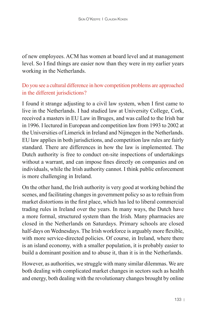of new employees. ACM has women at board level and at management level. So I find things are easier now than they were in my earlier years working in the Netherlands.

#### Do you see a cultural difference in how competition problems are approached in the different jurisdictions?

I found it strange adjusting to a civil law system, when I first came to live in the Netherlands. I had studied law at University College, Cork, received a masters in EU Law in Bruges, and was called to the Irish bar in 1996. I lectured in European and competition law from 1993 to 2002 at the Universities of Limerick in Ireland and Nijmegen in the Netherlands. EU law applies in both jurisdictions, and competition law rules are fairly standard. There are differences in how the law is implemented. The Dutch authority is free to conduct on-site inspections of undertakings without a warrant, and can impose fines directly on companies and on individuals, while the Irish authority cannot. I think public enforcement is more challenging in Ireland.

On the other hand, the Irish authority is very good at working behind the scenes, and facilitating changes in government policy so as to refrain from market distortions in the first place, which has led to liberal commercial trading rules in Ireland over the years. In many ways, the Dutch have a more formal, structured system than the Irish. Many pharmacies are closed in the Netherlands on Saturdays. Primary schools are closed half-days on Wednesdays. The Irish workforce is arguably more flexible, with more service-directed policies. Of course, in Ireland, where there is an island economy, with a smaller population, it is probably easier to build a dominant position and to abuse it, than it is in the Netherlands.

However, as authorities, we struggle with many similar dilemmas. We are both dealing with complicated market changes in sectors such as health and energy, both dealing with the revolutionary changes brought by online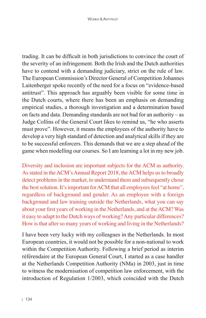trading. It can be difficult in both jurisdictions to convince the court of the severity of an infringement. Both the Irish and the Dutch authorities have to contend with a demanding judiciary, strict on the rule of law. The European Commission's Director General of Competition Johannes Laitenberger spoke recently of the need for a focus on "evidence-based antitrust". This approach has arguably been visible for some time in the Dutch courts, where there has been an emphasis on demanding empirical studies, a thorough investigation and a determination based on facts and data. Demanding standards are not bad for an authority – as Judge Collins of the General Court likes to remind us, "he who asserts must prove". However, it means the employees of the authority have to develop a very high standard of detection and analytical skills if they are to be successful enforcers. This demands that we are a step ahead of the game when modelling our courses. So I am learning a lot in my new job.

Diversity and inclusion are important subjects for the ACM as authority. As stated in the ACM's Annual Report 2018, the ACM helps us to broadly detect problems in the market, to understand them and subsequently chose the best solution. It's important for ACM that all employees feel "at home", regardless of background and gender. As an employee with a foreign background and law training outside the Netherlands, what you can say about your first years of working in the Netherlands, and at the ACM? Was it easy to adapt to the Dutch ways of working? Any particular differences? How is that after so many years of working and living in the Netherlands?

I have been very lucky with my colleagues in the Netherlands. In most European countries, it would not be possible for a non-national to work within the Competition Authority. Following a brief period as interim référendaire at the European General Court, I started as a case handler at the Netherlands Competition Authority (NMa) in 2003, just in time to witness the modernisation of competition law enforcement, with the introduction of Regulation 1/2003, which coincided with the Dutch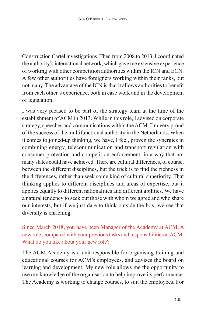Construction Cartel investigations. Then from 2008 to 2013, I coordinated the authority's international network, which gave me extensive experience of working with other competition authorities within the ICN and ECN. A few other authorities have foreigners working within their ranks, but not many. The advantage of the ICN is that it allows authorities to benefit from each other's experience, both in case work and in the development of legislation.

I was very pleased to be part of the strategy team at the time of the establishment of ACM in 2013. While in this role, I advised on corporate strategy, speeches and communications within the ACM. I'm very proud of the success of the multifunctional authority in the Netherlands. When it comes to joined-up thinking, we have, I feel, proven the synergies in combining energy, telecommunication and transport regulation with consumer protection and competition enforcement, in a way that not many states could have achieved. There are cultural differences, of course, between the different disciplines, but the trick is to find the richness in the differences, rather than seek some kind of cultural superiority. That thinking applies to different disciplines and areas of expertise, but it applies equally to different nationalities and different abilities. We have a natural tendency to seek out those with whom we agree and who share our interests, but if we just dare to think outside the box, we see that diversity is enriching.

#### Since March 2018, you have been Manager of the Academy at ACM. A new role, compared with your previous tasks and responsibilities at ACM. What do you like about your new role?

The ACM Academy is a unit responsible for organising training and educational courses for ACM's employees, and advises the board on learning and development. My new role allows me the opportunity to use my knowledge of the organisation to help improve its performance. The Academy is working to change courses, to suit the employees. For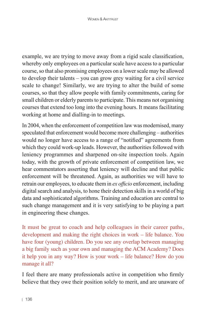example, we are trying to move away from a rigid scale classification, whereby only employees on a particular scale have access to a particular course, so that also promising employees on a lower scale may be allowed to develop their talents – you can grow grey waiting for a civil service scale to change! Similarly, we are trying to alter the build of some courses, so that they allow people with family commitments, caring for small children or elderly parents to participate. This means not organising courses that extend too long into the evening hours. It means facilitating working at home and dialling-in to meetings.

In 2004, when the enforcement of competition law was modernised, many speculated that enforcement would become more challenging – authorities would no longer have access to a range of "notified" agreements from which they could work-up leads. However, the authorities followed with leniency programmes and sharpened on-site inspection tools. Again today, with the growth of private enforcement of competition law, we hear commentators asserting that leniency will decline and that public enforcement will be threatened. Again, as authorities we will have to retrain our employees, to educate them in *ex officio* enforcement, including digital search and analysis, to hone their detection skills in a world of big data and sophisticated algorithms. Training and education are central to such change management and it is very satisfying to be playing a part in engineering these changes.

It must be great to coach and help colleagues in their career paths, development and making the right choices in work – life balance. You have four (young) children. Do you see any overlap between managing a big family such as your own and managing the ACM Academy? Does it help you in any way? How is your work – life balance? How do you manage it all?

I feel there are many professionals active in competition who firmly believe that they owe their position solely to merit, and are unaware of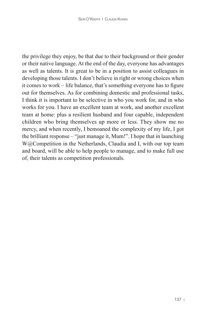the privilege they enjoy, be that due to their background or their gender or their native language. At the end of the day, everyone has advantages as well as talents. It is great to be in a position to assist colleagues in developing those talents. I don't believe in right or wrong choices when it comes to work – life balance, that's something everyone has to figure out for themselves. As for combining domestic and professional tasks, I think it is important to be selective in who you work for, and in who works for you. I have an excellent team at work, and another excellent team at home: plus a resilient husband and four capable, independent children who bring themselves up more or less. They show me no mercy, and when recently, I bemoaned the complexity of my life, I got the brilliant response – "just manage it, Mum!". I hope that in launching W@Competition in the Netherlands, Claudia and I, with our top team and board, will be able to help people to manage, and to make full use of, their talents as competition professionals.